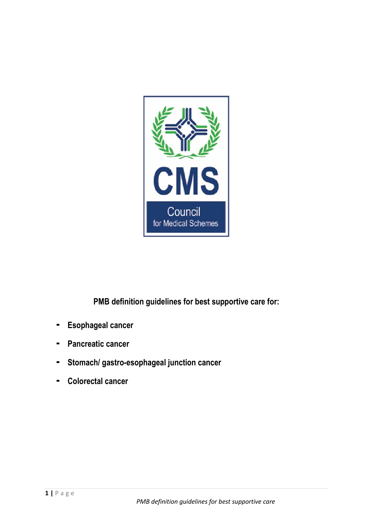

**PMB definition guidelines for best supportive care for:**

- **- Esophageal cancer**
- **- Pancreatic cancer**
- **- Stomach/ gastro-esophageal junction cancer**
- **- Colorectal cancer**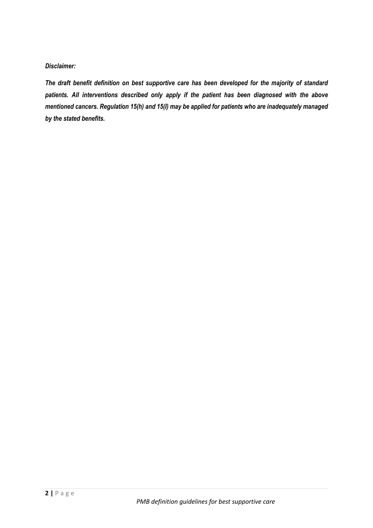*Disclaimer:* 

*The draft benefit definition on best supportive care has been developed for the majority of standard patients. All interventions described only apply if the patient has been diagnosed with the above mentioned cancers. Regulation 15(h) and 15(I) may be applied for patients who are inadequately managed by the stated benefits.*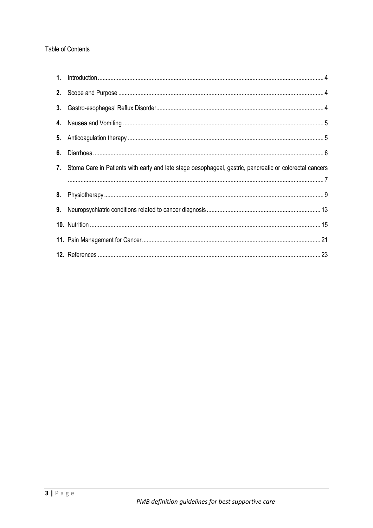## Table of Contents

| 7. Stoma Care in Patients with early and late stage oesophageal, gastric, pancreatic or colorectal cancers |
|------------------------------------------------------------------------------------------------------------|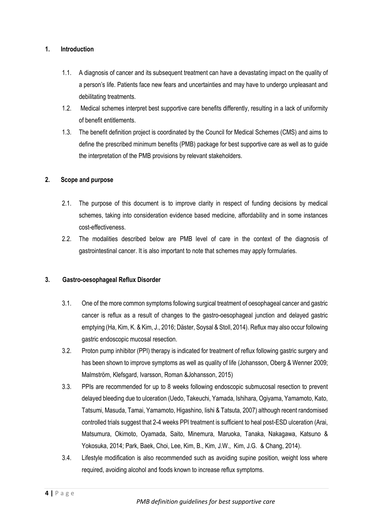### **1. Introduction**

- 1.1. A diagnosis of cancer and its subsequent treatment can have a devastating impact on the quality of a person's life. Patients face new fears and uncertainties and may have to undergo unpleasant and debilitating treatments.
- 1.2. Medical schemes interpret best supportive care benefits differently, resulting in a lack of uniformity of benefit entitlements.
- 1.3. The benefit definition project is coordinated by the Council for Medical Schemes (CMS) and aims to define the prescribed minimum benefits (PMB) package for best supportive care as well as to guide the interpretation of the PMB provisions by relevant stakeholders.

#### **2. Scope and purpose**

- 2.1. The purpose of this document is to improve clarity in respect of funding decisions by medical schemes, taking into consideration evidence based medicine, affordability and in some instances cost-effectiveness.
- 2.2. The modalities described below are PMB level of care in the context of the diagnosis of gastrointestinal cancer. It is also important to note that schemes may apply formularies.

## **3. Gastro-oesophageal Reflux Disorder**

- 3.1. One of the more common symptoms following surgical treatment of oesophageal cancer and gastric cancer is reflux as a result of changes to the gastro-oesophageal junction and delayed gastric emptying (Ha, Kim, K. & Kim, J., 2016; Däster, Soysal & Stoll, 2014). Reflux may also occur following gastric endoscopic mucosal resection.
- 3.2. Proton pump inhibitor (PPI) therapy is indicated for treatment of reflux following gastric surgery and has been shown to improve symptoms as well as quality of life (Johansson, Oberg & Wenner 2009; Malmström, Klefsgard, Ivarsson, Roman &Johansson, 2015)
- 3.3. PPIs are recommended for up to 8 weeks following endoscopic submucosal resection to prevent delayed bleeding due to ulceration (Uedo, Takeuchi, Yamada, Ishihara, Ogiyama, Yamamoto, Kato, Tatsumi, Masuda, Tamai, Yamamoto, Higashino, Iishi & Tatsuta, 2007) although recent randomised controlled trials suggest that 2-4 weeks PPI treatment is sufficient to heal post-ESD ulceration (Arai, Matsumura, Okimoto, Oyamada, Saito, Minemura, Maruoka, Tanaka, Nakagawa, Katsuno & Yokosuka, 2014; Park, Baek, Choi, Lee, Kim, B., Kim, J.W., Kim, J.G. & Chang, 2014).
- 3.4. Lifestyle modification is also recommended such as avoiding supine position, weight loss where required, avoiding alcohol and foods known to increase reflux symptoms.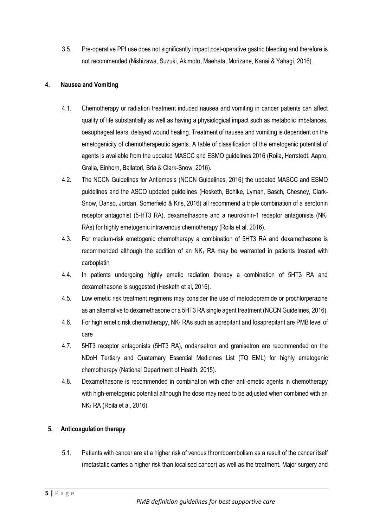3.5. Pre-operative PPI use does not significantly impact post-operative gastric bleeding and therefore is not recommended (Nishizawa, Suzuki, Akimoto, Maehata, Morizane, Kanai & Yahagi, 2016).

## **4. Nausea and Vomiting**

- 4.1. Chemotherapy or radiation treatment induced nausea and vomiting in cancer patients can affect quality of life substantially as well as having a physiological impact such as metabolic imbalances, oesophageal tears, delayed wound healing. Treatment of nausea and vomiting is dependent on the emetogenicity of chemotherapeutic agents. A table of classification of the emetogenic potential of agents is available from the updated MASCC and ESMO guidelines 2016 (Roila, Herrstedt, Aapro, Gralla, Einhorn, Ballatori, Bria & Clark-Snow, 2016).
- 4.2. The NCCN Guidelines for Antiemesis (NCCN Guidelines, 2016) the updated MASCC and ESMO guidelines and the ASCO updated guidelines (Hesketh, Bohlke, Lyman, Basch, Chesney, Clark-Snow, Danso, Jordan, Somerfield & Kris, 2016) all recommend a triple combination of a serotonin receptor antagonist (5-HT3 RA), dexamethasone and a neurokinin-1 receptor antagonists (NK $_1$ RAs) for highly emetogenic intravenous chemotherapy (Roila et al, 2016).
- 4.3. For medium-risk emetogenic chemotherapy a combination of 5HT3 RA and dexamethasone is recommended although the addition of an  $NK_1$  RA may be warranted in patients treated with carboplatin
- 4.4. In patients undergoing highly emetic radiation therapy a combination of 5HT3 RA and dexamethasone is suggested (Hesketh et al, 2016).
- 4.5. Low emetic risk treatment regimens may consider the use of metoclopramide or prochlorperazine as an alternative to dexamethasone or a 5HT3 RA single agent treatment (NCCN Guidelines, 2016).
- 4.6. For high emetic risk chemotherapy, NK<sub>1</sub> RAs such as aprepitant and fosaprepitant are PMB level of care
- 4.7. 5HT3 receptor antagonists (5HT3 RA), ondansetron and granisetron are recommended on the NDoH Tertiary and Quaternary Essential Medicines List (TQ EML) for highly emetogenic chemotherapy (National Department of Health, 2015).
- 4.8. Dexamethasone is recommended in combination with other anti-emetic agents in chemotherapy with high-emetogenic potential although the dose may need to be adjusted when combined with an  $NK<sub>1</sub> RA$  (Roila et al, 2016).

## **5. Anticoagulation therapy**

5.1. Patients with cancer are at a higher risk of venous thromboembolism as a result of the cancer itself (metastatic carries a higher risk than localised cancer) as well as the treatment. Major surgery and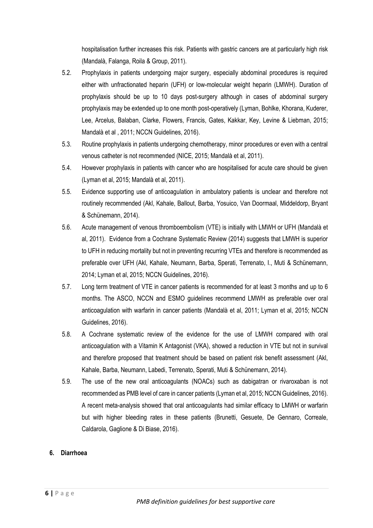hospitalisation further increases this risk. Patients with gastric cancers are at particularly high risk (Mandalà, Falanga, Roila & Group, 2011).

- 5.2. Prophylaxis in patients undergoing major surgery, especially abdominal procedures is required either with unfractionated heparin (UFH) or low-molecular weight heparin (LMWH). Duration of prophylaxis should be up to 10 days post-surgery although in cases of abdominal surgery prophylaxis may be extended up to one month post-operatively (Lyman, Bohlke, Khorana, Kuderer, Lee, Arcelus, Balaban, Clarke, Flowers, Francis, Gates, Kakkar, Key, Levine & Liebman, 2015; Mandalà et al , 2011; NCCN Guidelines, 2016).
- 5.3. Routine prophylaxis in patients undergoing chemotherapy, minor procedures or even with a central venous catheter is not recommended (NICE, 2015; Mandalà et al, 2011).
- 5.4. However prophylaxis in patients with cancer who are hospitalised for acute care should be given (Lyman et al, 2015; Mandalà et al, 2011).
- 5.5. Evidence supporting use of anticoagulation in ambulatory patients is unclear and therefore not routinely recommended (Akl, Kahale, Ballout, Barba, Yosuico, Van Doormaal, Middeldorp, Bryant & Schünemann, 2014).
- 5.6. Acute management of venous thromboembolism (VTE) is initially with LMWH or UFH (Mandalà et al, 2011). Evidence from a Cochrane Systematic Review (2014) suggests that LMWH is superior to UFH in reducing mortality but not in preventing recurring VTEs and therefore is recommended as preferable over UFH (Akl, Kahale, Neumann, Barba, Sperati, Terrenato, I., Muti & Schünemann, 2014; Lyman et al, 2015; NCCN Guidelines, 2016).
- 5.7. Long term treatment of VTE in cancer patients is recommended for at least 3 months and up to 6 months. The ASCO, NCCN and ESMO guidelines recommend LMWH as preferable over oral anticoagulation with warfarin in cancer patients (Mandalà et al, 2011; Lyman et al, 2015; NCCN Guidelines, 2016).
- 5.8. A Cochrane systematic review of the evidence for the use of LMWH compared with oral anticoagulation with a Vitamin K Antagonist (VKA), showed a reduction in VTE but not in survival and therefore proposed that treatment should be based on patient risk benefit assessment (Akl, Kahale, Barba, Neumann, Labedi, Terrenato, Sperati, Muti & Schünemann, 2014).
- 5.9. The use of the new oral anticoagulants (NOACs) such as dabigatran or rivaroxaban is not recommended as PMB level of care in cancer patients (Lyman et al, 2015; NCCN Guidelines, 2016). A recent meta-analysis showed that oral anticoagulants had similar efficacy to LMWH or warfarin but with higher bleeding rates in these patients (Brunetti, Gesuete, De Gennaro, Correale, Caldarola, Gaglione & Di Biase, 2016).

## **6. Diarrhoea**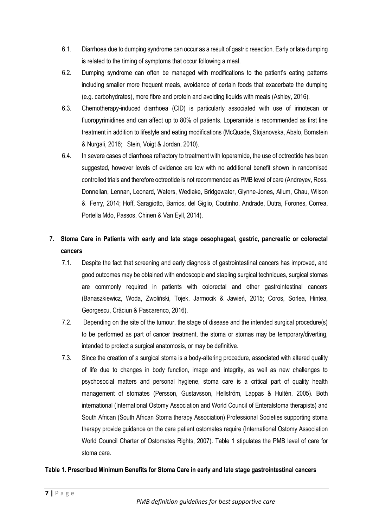- 6.1. Diarrhoea due to dumping syndrome can occur as a result of gastric resection. Early or late dumping is related to the timing of symptoms that occur following a meal.
- 6.2. Dumping syndrome can often be managed with modifications to the patient's eating patterns including smaller more frequent meals, avoidance of certain foods that exacerbate the dumping (e.g. carbohydrates), more fibre and protein and avoiding liquids with meals (Ashley, 2016).
- 6.3. Chemotherapy-induced diarrhoea (CID) is particularly associated with use of irinotecan or fluoropyrimidines and can affect up to 80% of patients. Loperamide is recommended as first line treatment in addition to lifestyle and eating modifications (McQuade, Stojanovska, Abalo, Bornstein & Nurgali, 2016; Stein, Voigt & Jordan, 2010).
- 6.4. In severe cases of diarrhoea refractory to treatment with loperamide, the use of octreotide has been suggested, however levels of evidence are low with no additional benefit shown in randomised controlled trials and therefore octreotide is not recommended as PMB level of care (Andreyev, Ross, Donnellan, Lennan, Leonard, Waters, Wedlake, Bridgewater, Glynne-Jones, Allum, Chau, Wilson & Ferry, 2014; Hoff, Saragiotto, Barrios, del Giglio, Coutinho, Andrade, Dutra, Forones, Correa, Portella Mdo, Passos, Chinen & Van Eyll, 2014).

# **7. Stoma Care in Patients with early and late stage oesophageal, gastric, pancreatic or colorectal cancers**

- 7.1. Despite the fact that screening and early diagnosis of gastrointestinal cancers has improved, and good outcomes may be obtained with endoscopic and stapling surgical techniques, surgical stomas are commonly required in patients with colorectal and other gastrointestinal cancers (Banaszkiewicz, Woda, Zwoliński, Tojek, Jarmocik & Jawień, 2015; Coros, Sorlea, Hintea, Georgescu, Crăciun & Pascarenco, 2016).
- 7.2. Depending on the site of the tumour, the stage of disease and the intended surgical procedure(s) to be performed as part of cancer treatment, the stoma or stomas may be temporary/diverting, intended to protect a surgical anatomosis, or may be definitive.
- 7.3. Since the creation of a surgical stoma is a body-altering procedure, associated with altered quality of life due to changes in body function, image and integrity, as well as new challenges to psychosocial matters and personal hygiene, stoma care is a critical part of quality health management of stomates (Persson, Gustavsson, Hellström, Lappas & Hultén, 2005). Both international (International Ostomy Association and World Council of Enteralstoma therapists) and South African (South African Stoma therapy Association) Professional Societies supporting stoma therapy provide guidance on the care patient ostomates require (International Ostomy Association World Council Charter of Ostomates Rights, 2007). Table 1 stipulates the PMB level of care for stoma care.

## **Table 1. Prescribed Minimum Benefits for Stoma Care in early and late stage gastrointestinal cancers**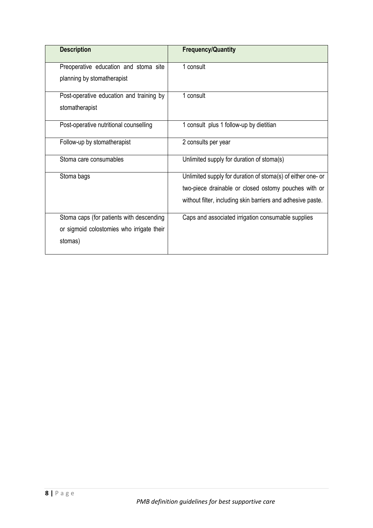| <b>Description</b>                        | <b>Frequency/Quantity</b>                                   |
|-------------------------------------------|-------------------------------------------------------------|
| Preoperative education and stoma site     | 1 consult                                                   |
| planning by stomatherapist                |                                                             |
| Post-operative education and training by  | 1 consult                                                   |
| stomatherapist                            |                                                             |
| Post-operative nutritional counselling    | 1 consult plus 1 follow-up by dietitian                     |
| Follow-up by stomatherapist               | 2 consults per year                                         |
| Stoma care consumables                    | Unlimited supply for duration of stoma(s)                   |
| Stoma bags                                | Unlimited supply for duration of stoma(s) of either one- or |
|                                           | two-piece drainable or closed ostomy pouches with or        |
|                                           | without filter, including skin barriers and adhesive paste. |
| Stoma caps (for patients with descending  | Caps and associated irrigation consumable supplies          |
| or sigmoid colostomies who irrigate their |                                                             |
| stomas)                                   |                                                             |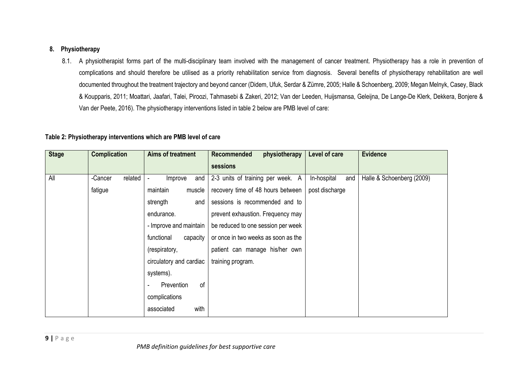### **8. Physiotherapy**

8.1. A physiotherapist forms part of the multi-disciplinary team involved with the management of cancer treatment. Physiotherapy has a role in prevention of complications and should therefore be utilised as a priority rehabilitation service from diagnosis. Several benefits of physiotherapy rehabilitation are well documented throughout the treatment trajectory and beyond cancer (Didem, Ufuk, Serdar & Zümre, 2005; Halle & Schoenberg, 2009; Megan Melnyk, Casey, Black & Koupparis, 2011; Moattari, Jaafari, Talei, Piroozi, Tahmasebi & Zakeri, 2012; Van der Leeden, Huijsmansa, Geleijna, De Lange-De Klerk, Dekkera, Bonjere & Van der Peete, 2016). The physiotherapy interventions listed in table 2 below are PMB level of care:

#### **Table 2: Physiotherapy interventions which are PMB level of care**

| <b>Stage</b> | <b>Complication</b> | Aims of treatment           | <b>Recommended</b><br>physiotherapy<br>sessions | Level of care      | <b>Evidence</b>           |
|--------------|---------------------|-----------------------------|-------------------------------------------------|--------------------|---------------------------|
| All          | related<br>-Cancer  | Improve<br>and              | 2-3 units of training per week. A               | In-hospital<br>and | Halle & Schoenberg (2009) |
|              | fatigue             | maintain<br>muscle          | recovery time of 48 hours between               | post discharge     |                           |
|              |                     | strength<br>and             | sessions is recommended and to                  |                    |                           |
|              |                     | endurance.                  | prevent exhaustion. Frequency may               |                    |                           |
|              |                     | - Improve and maintain      | be reduced to one session per week              |                    |                           |
|              |                     | functional<br>capacity      | or once in two weeks as soon as the             |                    |                           |
|              |                     | (respiratory,               | patient can manage his/her own                  |                    |                           |
|              |                     | circulatory and cardiac     | training program.                               |                    |                           |
|              |                     | systems).                   |                                                 |                    |                           |
|              |                     | <sub>of</sub><br>Prevention |                                                 |                    |                           |
|              |                     | complications               |                                                 |                    |                           |
|              |                     | with<br>associated          |                                                 |                    |                           |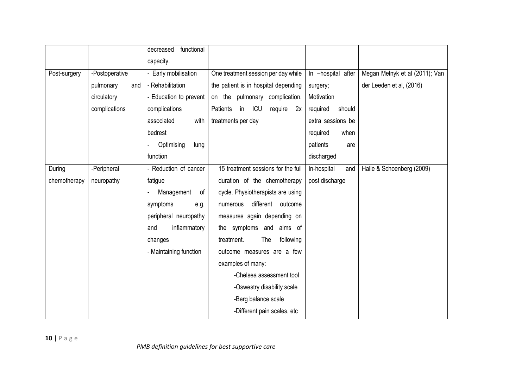|              |                  | functional<br>decreased |                                        |                    |                                |
|--------------|------------------|-------------------------|----------------------------------------|--------------------|--------------------------------|
|              |                  | capacity.               |                                        |                    |                                |
| Post-surgery | -Postoperative   | - Early mobilisation    | One treatment session per day while    | In -hospital after | Megan Melnyk et al (2011); Van |
|              | pulmonary<br>and | - Rehabilitation        | the patient is in hospital depending   | surgery;           | der Leeden et al, (2016)       |
|              | circulatory      | - Education to prevent  | on the pulmonary complication.         | Motivation         |                                |
|              | complications    | complications           | Patients<br>ICU<br>in<br>require<br>2x | required<br>should |                                |
|              |                  | with<br>associated      | treatments per day                     | extra sessions be  |                                |
|              |                  | bedrest                 |                                        | required<br>when   |                                |
|              |                  | Optimising<br>lung      |                                        | patients<br>are    |                                |
|              |                  | function                |                                        | discharged         |                                |
| During       | -Peripheral      | - Reduction of cancer   | 15 treatment sessions for the full     | In-hospital<br>and | Halle & Schoenberg (2009)      |
| chemotherapy | neuropathy       | fatigue                 | duration of the chemotherapy           | post discharge     |                                |
|              |                  | Management<br>of        | cycle. Physiotherapists are using      |                    |                                |
|              |                  | symptoms<br>e.g.        | different outcome<br>numerous          |                    |                                |
|              |                  | peripheral neuropathy   | measures again depending on            |                    |                                |
|              |                  | inflammatory<br>and     | the symptoms and<br>aims of            |                    |                                |
|              |                  | changes                 | treatment.<br><b>The</b><br>following  |                    |                                |
|              |                  | - Maintaining function  | outcome measures are a few             |                    |                                |
|              |                  |                         | examples of many:                      |                    |                                |
|              |                  |                         | -Chelsea assessment tool               |                    |                                |
|              |                  |                         | -Oswestry disability scale             |                    |                                |
|              |                  |                         | -Berg balance scale                    |                    |                                |
|              |                  |                         | -Different pain scales, etc            |                    |                                |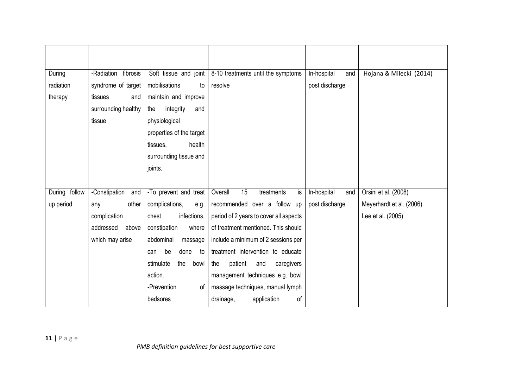| During        | -Radiation<br>fibrosis | Soft tissue and joint    | 8-10 treatments until the symptoms     | In-hospital<br>and | Hojana & Milecki (2014)  |
|---------------|------------------------|--------------------------|----------------------------------------|--------------------|--------------------------|
| radiation     | syndrome of target     | mobilisations<br>to      | resolve                                | post discharge     |                          |
| therapy       | tissues<br>and         | maintain and improve     |                                        |                    |                          |
|               | surrounding healthy    | integrity<br>the<br>and  |                                        |                    |                          |
|               | tissue                 | physiological            |                                        |                    |                          |
|               |                        | properties of the target |                                        |                    |                          |
|               |                        | health<br>tissues,       |                                        |                    |                          |
|               |                        | surrounding tissue and   |                                        |                    |                          |
|               |                        | joints.                  |                                        |                    |                          |
|               |                        |                          |                                        |                    |                          |
| During follow | -Constipation and      | -To prevent and treat    | 15<br>Overall<br>treatments<br>is      | In-hospital<br>and | Orsini et al. (2008)     |
| up period     | other<br>any           | complications,<br>e.g.   | recommended over a follow up           | post discharge     | Meyerhardt et al. (2006) |
|               | complication           | infections,<br>chest     | period of 2 years to cover all aspects |                    | Lee et al. (2005)        |
|               | addressed<br>above     | constipation<br>where    | of treatment mentioned. This should    |                    |                          |
|               | which may arise        | abdominal<br>massage     | include a minimum of 2 sessions per    |                    |                          |
|               |                        | done<br>be<br>to<br>can  | treatment intervention to educate      |                    |                          |
|               |                        | the<br>stimulate<br>bowl | the<br>patient<br>caregivers<br>and    |                    |                          |
|               |                        | action.                  | management techniques e.g. bowl        |                    |                          |
|               |                        | -Prevention<br>οf        | massage techniques, manual lymph       |                    |                          |
|               |                        | bedsores                 | of<br>drainage,<br>application         |                    |                          |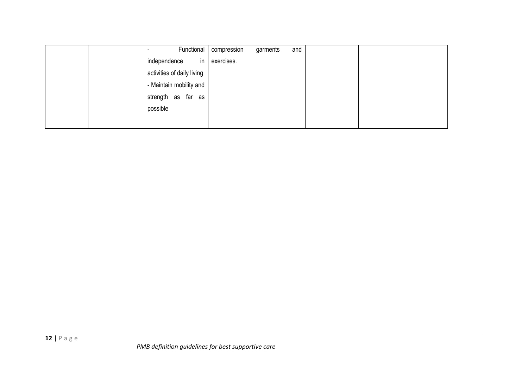| Functional                 | compression | garments | and |  |  |
|----------------------------|-------------|----------|-----|--|--|
| in<br>independence         | exercises.  |          |     |  |  |
| activities of daily living |             |          |     |  |  |
| - Maintain mobility and    |             |          |     |  |  |
| strength as far as         |             |          |     |  |  |
| possible                   |             |          |     |  |  |
|                            |             |          |     |  |  |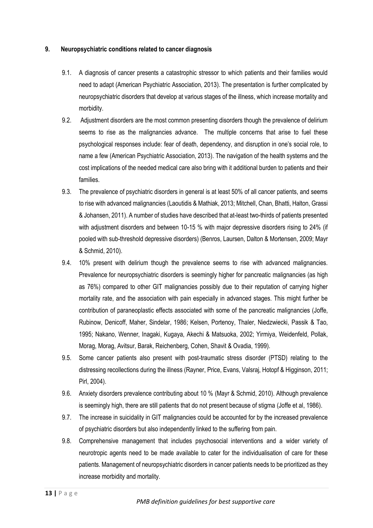#### **9. Neuropsychiatric conditions related to cancer diagnosis**

- 9.1. A diagnosis of cancer presents a catastrophic stressor to which patients and their families would need to adapt (American Psychiatric Association, 2013). The presentation is further complicated by neuropsychiatric disorders that develop at various stages of the illness, which increase mortality and morbidity.
- 9.2. Adjustment disorders are the most common presenting disorders though the prevalence of delirium seems to rise as the malignancies advance. The multiple concerns that arise to fuel these psychological responses include: fear of death, dependency, and disruption in one's social role, to name a few (American Psychiatric Association, 2013). The navigation of the health systems and the cost implications of the needed medical care also bring with it additional burden to patients and their families.
- 9.3. The prevalence of psychiatric disorders in general is at least 50% of all cancer patients, and seems to rise with advanced malignancies (Laoutidis & Mathiak, 2013; Mitchell, Chan, Bhatti, Halton, Grassi & Johansen, 2011). A number of studies have described that at-least two-thirds of patients presented with adjustment disorders and between 10-15 % with major depressive disorders rising to 24% (if pooled with sub-threshold depressive disorders) (Benros, Laursen, Dalton & Mortensen, 2009; Mayr & Schmid, 2010).
- 9.4. 10% present with delirium though the prevalence seems to rise with advanced malignancies. Prevalence for neuropsychiatric disorders is seemingly higher for pancreatic malignancies (as high as 76%) compared to other GIT malignancies possibly due to their reputation of carrying higher mortality rate, and the association with pain especially in advanced stages. This might further be contribution of paraneoplastic effects associated with some of the pancreatic malignancies (Joffe, Rubinow, Denicoff, Maher, Sindelar, 1986; Kelsen, Portenoy, Thaler, Niedzwiecki, Passik & Tao, 1995; Nakano, Wenner, Inagaki, Kugaya, Akechi & Matsuoka, 2002; Yirmiya, Weidenfeld, Pollak, Morag, Morag, Avitsur, Barak, Reichenberg, Cohen, Shavit & Ovadia, 1999).
- 9.5. Some cancer patients also present with post-traumatic stress disorder (PTSD) relating to the distressing recollections during the illness (Rayner, Price, Evans, Valsraj, Hotopf & Higginson, 2011; Pirl, 2004).
- 9.6. Anxiety disorders prevalence contributing about 10 % (Mayr & Schmid, 2010). Although prevalence is seemingly high, there are still patients that do not present because of stigma (Joffe et al, 1986).
- 9.7. The increase in suicidality in GIT malignancies could be accounted for by the increased prevalence of psychiatric disorders but also independently linked to the suffering from pain.
- 9.8. Comprehensive management that includes psychosocial interventions and a wider variety of neurotropic agents need to be made available to cater for the individualisation of care for these patients. Management of neuropsychiatric disorders in cancer patients needs to be prioritized as they increase morbidity and mortality.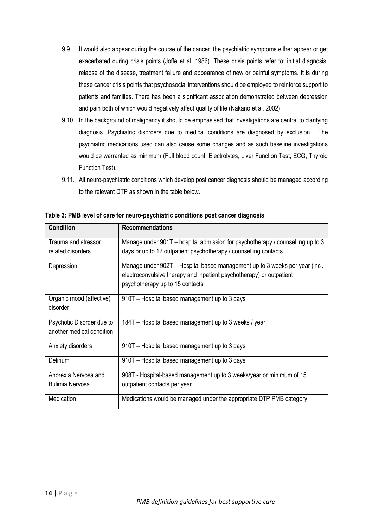- 9.9. It would also appear during the course of the cancer, the psychiatric symptoms either appear or get exacerbated during crisis points (Joffe et al, 1986). These crisis points refer to: initial diagnosis, relapse of the disease, treatment failure and appearance of new or painful symptoms. It is during these cancer crisis points that psychosocial interventions should be employed to reinforce support to patients and families. There has been a significant association demonstrated between depression and pain both of which would negatively affect quality of life (Nakano et al, 2002).
- 9.10. In the background of malignancy it should be emphasised that investigations are central to clarifying diagnosis. Psychiatric disorders due to medical conditions are diagnosed by exclusion. The psychiatric medications used can also cause some changes and as such baseline investigations would be warranted as minimum (Full blood count, Electrolytes, Liver Function Test, ECG, Thyroid Function Test).
- 9.11. All neuro-psychiatric conditions which develop post cancer diagnosis should be managed according to the relevant DTP as shown in the table below.

| <b>Condition</b>          | <b>Recommendations</b>                                                         |
|---------------------------|--------------------------------------------------------------------------------|
| Trauma and stressor       | Manage under 901T – hospital admission for psychotherapy / counselling up to 3 |
| related disorders         | days or up to 12 outpatient psychotherapy / counselling contacts               |
| Depression                | Manage under 902T – Hospital based management up to 3 weeks per year (incl.    |
|                           | electroconvulsive therapy and inpatient psychotherapy) or outpatient           |
|                           | psychotherapy up to 15 contacts                                                |
| Organic mood (affective)  | 910T – Hospital based management up to 3 days                                  |
| disorder                  |                                                                                |
| Psychotic Disorder due to | 184T – Hospital based management up to 3 weeks / year                          |
| another medical condition |                                                                                |
| Anxiety disorders         | 910T - Hospital based management up to 3 days                                  |
| Delirium                  | 910T - Hospital based management up to 3 days                                  |
| Anorexia Nervosa and      | 908T - Hospital-based management up to 3 weeks/year or minimum of 15           |
| Bulimia Nervosa           | outpatient contacts per year                                                   |
| Medication                | Medications would be managed under the appropriate DTP PMB category            |

**Table 3: PMB level of care for neuro-psychiatric conditions post cancer diagnosis**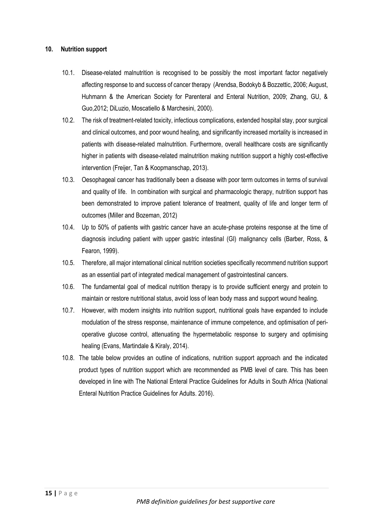#### **10. Nutrition support**

- 10.1. Disease-related malnutrition is recognised to be possibly the most important factor negatively affecting response to and success of cancer therapy (Arendsa, Bodokyb & Bozzettic, 2006; August, Huhmann & the American Society for Parenteral and Enteral Nutrition, 2009; Zhang, GU, & Guo,2012; DiLuzio, Moscatiello & Marchesini, 2000).
- 10.2. The risk of treatment-related toxicity, infectious complications, extended hospital stay, poor surgical and clinical outcomes, and poor wound healing, and significantly increased mortality is increased in patients with disease-related malnutrition. Furthermore, overall healthcare costs are significantly higher in patients with disease-related malnutrition making nutrition support a highly cost-effective intervention (Freijer, Tan & Koopmanschap, 2013).
- 10.3. Oesophageal cancer has traditionally been a disease with poor term outcomes in terms of survival and quality of life. In combination with surgical and pharmacologic therapy, nutrition support has been demonstrated to improve patient tolerance of treatment, quality of life and longer term of outcomes (Miller and Bozeman, 2012)
- 10.4. Up to 50% of patients with gastric cancer have an acute-phase proteins response at the time of diagnosis including patient with upper gastric intestinal (GI) malignancy cells (Barber, Ross, & Fearon, 1999).
- 10.5. Therefore, all major international clinical nutrition societies specifically recommend nutrition support as an essential part of integrated medical management of gastrointestinal cancers.
- 10.6. The fundamental goal of medical nutrition therapy is to provide sufficient energy and protein to maintain or restore nutritional status, avoid loss of lean body mass and support wound healing.
- 10.7. However, with modern insights into nutrition support, nutritional goals have expanded to include modulation of the stress response, maintenance of immune competence, and optimisation of perioperative glucose control, attenuating the hypermetabolic response to surgery and optimising healing (Evans, Martindale & Kiraly, 2014).
- 10.8. The table below provides an outline of indications, nutrition support approach and the indicated product types of nutrition support which are recommended as PMB level of care. This has been developed in line with The National Enteral Practice Guidelines for Adults in South Africa (National Enteral Nutrition Practice Guidelines for Adults. 2016).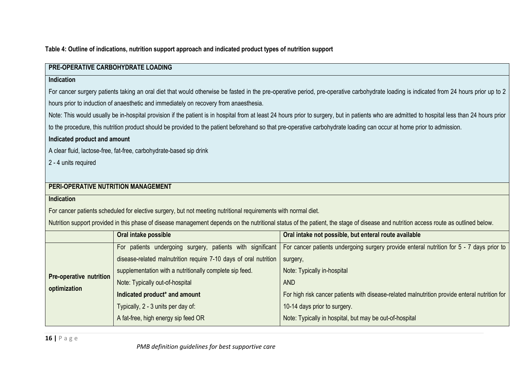**Table 4: Outline of indications, nutrition support approach and indicated product types of nutrition support**

| PRE-OPERATIVE CARBOHYDRATE LOADING  |                                                                                                                |                                                                                                                                                                                                |  |  |  |
|-------------------------------------|----------------------------------------------------------------------------------------------------------------|------------------------------------------------------------------------------------------------------------------------------------------------------------------------------------------------|--|--|--|
| Indication                          |                                                                                                                |                                                                                                                                                                                                |  |  |  |
|                                     |                                                                                                                | For cancer surgery patients taking an oral diet that would otherwise be fasted in the pre-operative period, pre-operative carbohydrate loading is indicated from 24 hours prior up to 2        |  |  |  |
|                                     | hours prior to induction of anaesthetic and immediately on recovery from anaesthesia.                          |                                                                                                                                                                                                |  |  |  |
|                                     |                                                                                                                | Note: This would usually be in-hospital provision if the patient is in hospital from at least 24 hours prior to surgery, but in patients who are admitted to hospital less than 24 hours prior |  |  |  |
|                                     |                                                                                                                | to the procedure, this nutrition product should be provided to the patient beforehand so that pre-operative carbohydrate loading can occur at home prior to admission.                         |  |  |  |
| Indicated product and amount        |                                                                                                                |                                                                                                                                                                                                |  |  |  |
|                                     | A clear fluid, lactose-free, fat-free, carbohydrate-based sip drink                                            |                                                                                                                                                                                                |  |  |  |
| 2 - 4 units required                |                                                                                                                |                                                                                                                                                                                                |  |  |  |
|                                     |                                                                                                                |                                                                                                                                                                                                |  |  |  |
| PERI-OPERATIVE NUTRITION MANAGEMENT |                                                                                                                |                                                                                                                                                                                                |  |  |  |
| <b>Indication</b>                   |                                                                                                                |                                                                                                                                                                                                |  |  |  |
|                                     | For cancer patients scheduled for elective surgery, but not meeting nutritional requirements with normal diet. |                                                                                                                                                                                                |  |  |  |
|                                     |                                                                                                                | Nutrition support provided in this phase of disease management depends on the nutritional status of the patient, the stage of disease and nutrition access route as outlined below.            |  |  |  |
|                                     | Oral intake possible                                                                                           | Oral intake not possible, but enteral route available                                                                                                                                          |  |  |  |
|                                     | For patients undergoing surgery, patients with significant                                                     | For cancer patients undergoing surgery provide enteral nutrition for 5 - 7 days prior to                                                                                                       |  |  |  |
|                                     | disease-related malnutrition require 7-10 days of oral nutrition                                               | surgery,                                                                                                                                                                                       |  |  |  |
|                                     | supplementation with a nutritionally complete sip feed.                                                        | Note: Typically in-hospital                                                                                                                                                                    |  |  |  |
| <b>Pre-operative nutrition</b>      | Note: Typically out-of-hospital                                                                                | <b>AND</b>                                                                                                                                                                                     |  |  |  |

**optimization Indicated product\* and amount** Typically, 2 - 3 units per day of: A fat-free, high energy sip feed OR For high risk cancer patients with disease-related malnutrition provide enteral nutrition for 10-14 days prior to surgery. Note: Typically in hospital, but may be out-of-hospital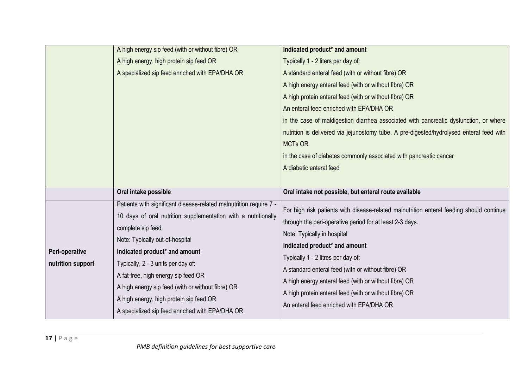|                   | A high energy sip feed (with or without fibre) OR                  | Indicated product* and amount                                                            |
|-------------------|--------------------------------------------------------------------|------------------------------------------------------------------------------------------|
|                   | A high energy, high protein sip feed OR                            | Typically 1 - 2 liters per day of:                                                       |
|                   | A specialized sip feed enriched with EPA/DHA OR                    | A standard enteral feed (with or without fibre) OR                                       |
|                   |                                                                    | A high energy enteral feed (with or without fibre) OR                                    |
|                   |                                                                    | A high protein enteral feed (with or without fibre) OR                                   |
|                   |                                                                    | An enteral feed enriched with EPA/DHA OR                                                 |
|                   |                                                                    | in the case of maldigestion diarrhea associated with pancreatic dysfunction, or where    |
|                   |                                                                    | nutrition is delivered via jejunostomy tube. A pre-digested/hydrolysed enteral feed with |
|                   |                                                                    | <b>MCTs OR</b>                                                                           |
|                   |                                                                    | in the case of diabetes commonly associated with pancreatic cancer                       |
|                   |                                                                    | A diabetic enteral feed                                                                  |
|                   |                                                                    |                                                                                          |
|                   | Oral intake possible                                               | Oral intake not possible, but enteral route available                                    |
|                   | Patients with significant disease-related malnutrition require 7 - | For high risk patients with disease-related malnutrition enteral feeding should continue |
|                   | 10 days of oral nutrition supplementation with a nutritionally     | through the peri-operative period for at least 2-3 days.                                 |
|                   | complete sip feed.                                                 | Note: Typically in hospital                                                              |
|                   | Note: Typically out-of-hospital                                    | Indicated product* and amount                                                            |
| Peri-operative    | Indicated product* and amount                                      | Typically 1 - 2 litres per day of:                                                       |
| nutrition support | Typically, 2 - 3 units per day of:                                 | A standard enteral feed (with or without fibre) OR                                       |
|                   | A fat-free, high energy sip feed OR                                | A high energy enteral feed (with or without fibre) OR                                    |
|                   | A high energy sip feed (with or without fibre) OR                  |                                                                                          |
|                   | A high energy, high protein sip feed OR                            | A high protein enteral feed (with or without fibre) OR                                   |
|                   | A specialized sip feed enriched with EPA/DHA OR                    | An enteral feed enriched with EPA/DHA OR                                                 |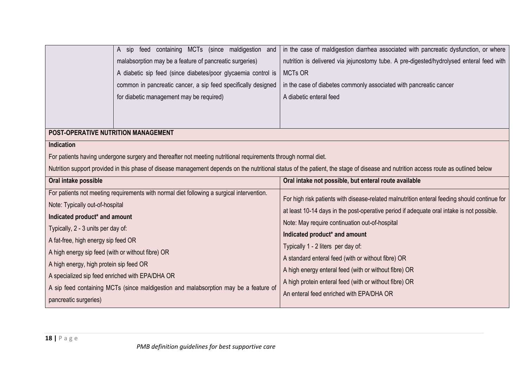|                                                   | A sip feed containing MCTs (since maldigestion and<br>malabsorption may be a feature of pancreatic surgeries)<br>A diabetic sip feed (since diabetes/poor glycaemia control is<br>common in pancreatic cancer, a sip feed specifically designed<br>for diabetic management may be required) | in the case of maldigestion diarrhea associated with pancreatic dysfunction, or where<br>nutrition is delivered via jejunostomy tube. A pre-digested/hydrolysed enteral feed with<br><b>MCTs OR</b><br>in the case of diabetes commonly associated with pancreatic cancer<br>A diabetic enteral feed |
|---------------------------------------------------|---------------------------------------------------------------------------------------------------------------------------------------------------------------------------------------------------------------------------------------------------------------------------------------------|------------------------------------------------------------------------------------------------------------------------------------------------------------------------------------------------------------------------------------------------------------------------------------------------------|
| POST-OPERATIVE NUTRITION MANAGEMENT               |                                                                                                                                                                                                                                                                                             |                                                                                                                                                                                                                                                                                                      |
| <b>Indication</b>                                 |                                                                                                                                                                                                                                                                                             |                                                                                                                                                                                                                                                                                                      |
|                                                   | For patients having undergone surgery and thereafter not meeting nutritional requirements through normal diet.                                                                                                                                                                              |                                                                                                                                                                                                                                                                                                      |
|                                                   |                                                                                                                                                                                                                                                                                             | Nutrition support provided in this phase of disease management depends on the nutritional status of the patient, the stage of disease and nutrition access route as outlined below                                                                                                                   |
| Oral intake possible                              |                                                                                                                                                                                                                                                                                             | Oral intake not possible, but enteral route available                                                                                                                                                                                                                                                |
|                                                   |                                                                                                                                                                                                                                                                                             |                                                                                                                                                                                                                                                                                                      |
|                                                   | For patients not meeting requirements with normal diet following a surgical intervention.                                                                                                                                                                                                   |                                                                                                                                                                                                                                                                                                      |
| Note: Typically out-of-hospital                   |                                                                                                                                                                                                                                                                                             | For high risk patients with disease-related malnutrition enteral feeding should continue for                                                                                                                                                                                                         |
| Indicated product* and amount                     |                                                                                                                                                                                                                                                                                             | at least 10-14 days in the post-operative period if adequate oral intake is not possible.                                                                                                                                                                                                            |
| Typically, 2 - 3 units per day of:                |                                                                                                                                                                                                                                                                                             | Note: May require continuation out-of-hospital                                                                                                                                                                                                                                                       |
| A fat-free, high energy sip feed OR               |                                                                                                                                                                                                                                                                                             | Indicated product* and amount                                                                                                                                                                                                                                                                        |
| A high energy sip feed (with or without fibre) OR |                                                                                                                                                                                                                                                                                             | Typically 1 - 2 liters per day of:                                                                                                                                                                                                                                                                   |
|                                                   |                                                                                                                                                                                                                                                                                             | A standard enteral feed (with or without fibre) OR                                                                                                                                                                                                                                                   |
| A high energy, high protein sip feed OR           |                                                                                                                                                                                                                                                                                             | A high energy enteral feed (with or without fibre) OR                                                                                                                                                                                                                                                |
| A specialized sip feed enriched with EPA/DHA OR   | A sip feed containing MCTs (since maldigestion and malabsorption may be a feature of                                                                                                                                                                                                        | A high protein enteral feed (with or without fibre) OR                                                                                                                                                                                                                                               |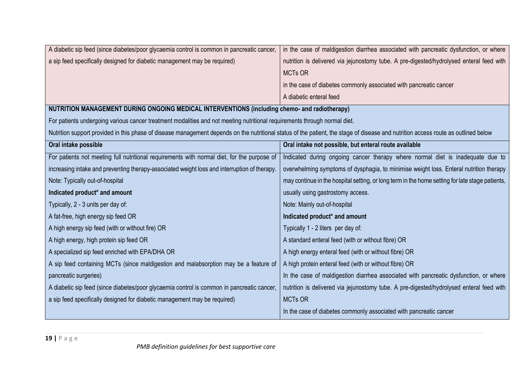| A diabetic sip feed (since diabetes/poor glycaemia control is common in pancreatic cancer,                                                                                         | in the case of maldigestion diarrhea associated with pancreatic dysfunction, or where           |
|------------------------------------------------------------------------------------------------------------------------------------------------------------------------------------|-------------------------------------------------------------------------------------------------|
| a sip feed specifically designed for diabetic management may be required)                                                                                                          | nutrition is delivered via jejunostomy tube. A pre-digested/hydrolysed enteral feed with        |
|                                                                                                                                                                                    | <b>MCTs OR</b>                                                                                  |
|                                                                                                                                                                                    | in the case of diabetes commonly associated with pancreatic cancer                              |
|                                                                                                                                                                                    | A diabetic enteral feed                                                                         |
| NUTRITION MANAGEMENT DURING ONGOING MEDICAL INTERVENTIONS (including chemo- and radiotherapy)                                                                                      |                                                                                                 |
| For patients undergoing various cancer treatment modalities and not meeting nutritional requirements through normal diet.                                                          |                                                                                                 |
| Nutrition support provided in this phase of disease management depends on the nutritional status of the patient, the stage of disease and nutrition access route as outlined below |                                                                                                 |
| Oral intake possible                                                                                                                                                               | Oral intake not possible, but enteral route available                                           |
| For patients not meeting full nutritional requirements with normal diet, for the purpose of                                                                                        | Indicated during ongoing cancer therapy where normal diet is inadequate due to                  |
| increasing intake and preventing therapy-associated weight loss and interruption of therapy.                                                                                       | overwhelming symptoms of dysphagia, to minimise weight loss. Enteral nutrition therapy          |
| Note: Typically out-of-hospital                                                                                                                                                    | may continue in the hospital setting, or long term in the home setting for late stage patients, |
| Indicated product* and amount                                                                                                                                                      | usually using gastrostomy access.                                                               |
| Typically, 2 - 3 units per day of:                                                                                                                                                 | Note: Mainly out-of-hospital                                                                    |
| A fat-free, high energy sip feed OR                                                                                                                                                | Indicated product* and amount                                                                   |
| A high energy sip feed (with or without fire) OR                                                                                                                                   | Typically 1 - 2 liters per day of:                                                              |
| A high energy, high protein sip feed OR                                                                                                                                            | A standard enteral feed (with or without fibre) OR                                              |
| A specialized sip feed enriched with EPA/DHA OR                                                                                                                                    | A high energy enteral feed (with or without fibre) OR                                           |
| A sip feed containing MCTs (since maldigestion and malabsorption may be a feature of                                                                                               | A high protein enteral feed (with or without fibre) OR                                          |
| pancreatic surgeries)                                                                                                                                                              | In the case of maldigestion diarrhea associated with pancreatic dysfunction, or where           |
| A diabetic sip feed (since diabetes/poor glycaemia control is common in pancreatic cancer,                                                                                         | nutrition is delivered via jejunostomy tube. A pre-digested/hydrolysed enteral feed with        |
| a sip feed specifically designed for diabetic management may be required)                                                                                                          | <b>MCTs OR</b>                                                                                  |
|                                                                                                                                                                                    | In the case of diabetes commonly associated with pancreatic cancer                              |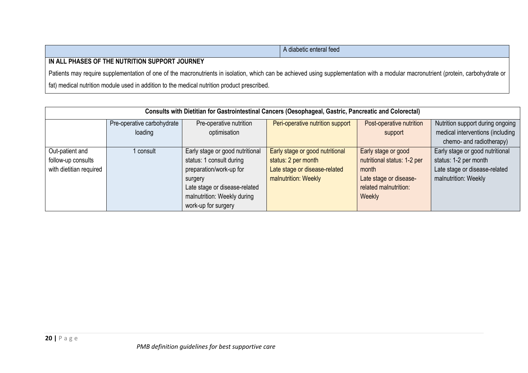|                                                                                                                                                                                    | A diabetic enteral feed |  |
|------------------------------------------------------------------------------------------------------------------------------------------------------------------------------------|-------------------------|--|
| IN ALL PHASES OF THE NUTRITION SUPPORT JOURNEY                                                                                                                                     |                         |  |
| Patients may require supplementation of one of the macronutrients in isolation, which can be achieved using supplementation with a modular macronutrient (protein, carbohydrate or |                         |  |
| fat) medical nutrition module used in addition to the medical nutrition product prescribed.                                                                                        |                         |  |

| Consults with Dietitian for Gastrointestinal Cancers (Oesophageal, Gastric, Pancreatic and Colorectal) |                            |                                 |                                  |                             |                                  |
|--------------------------------------------------------------------------------------------------------|----------------------------|---------------------------------|----------------------------------|-----------------------------|----------------------------------|
|                                                                                                        | Pre-operative carbohydrate | Pre-operative nutrition         | Peri-operative nutrition support | Post-operative nutrition    | Nutrition support during ongoing |
|                                                                                                        | loading                    | optimisation                    |                                  | support                     | medical interventions (including |
|                                                                                                        |                            |                                 |                                  |                             | chemo- and radiotherapy)         |
| Out-patient and                                                                                        | consult                    | Early stage or good nutritional | Early stage or good nutritional  | Early stage or good         | Early stage or good nutritional  |
| follow-up consults                                                                                     |                            | status: 1 consult during        | status: 2 per month              | nutritional status: 1-2 per | status: 1-2 per month            |
| with dietitian required                                                                                |                            | preparation/work-up for         | Late stage or disease-related    | month                       | Late stage or disease-related    |
|                                                                                                        |                            | surgery                         | malnutrition: Weekly             | Late stage or disease-      | malnutrition: Weekly             |
|                                                                                                        |                            | Late stage or disease-related   |                                  | related malnutrition:       |                                  |
|                                                                                                        |                            | malnutrition: Weekly during     |                                  | Weekly                      |                                  |
|                                                                                                        |                            | work-up for surgery             |                                  |                             |                                  |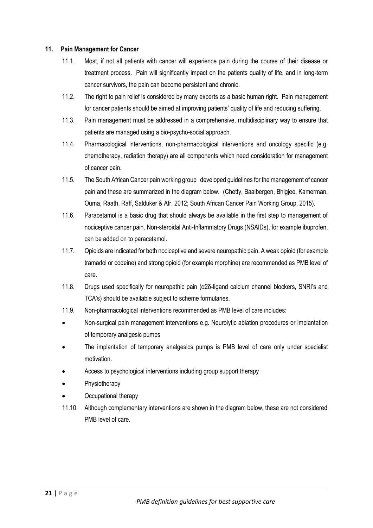#### **11. Pain Management for Cancer**

- 11.1. Most, if not all patients with cancer will experience pain during the course of their disease or treatment process. Pain will significantly impact on the patients quality of life, and in long-term cancer survivors, the pain can become persistent and chronic.
- 11.2. The right to pain relief is considered by many experts as a basic human right. Pain management for cancer patients should be aimed at improving patients' quality of life and reducing suffering.
- 11.3. Pain management must be addressed in a comprehensive, multidisciplinary way to ensure that patients are managed using a bio-psycho-social approach.
- 11.4. Pharmacological interventions, non-pharmacological interventions and oncology specific (e.g. chemotherapy, radiation therapy) are all components which need consideration for management of cancer pain.
- 11.5. The South African Cancer pain working group developed guidelines for the management of cancer pain and these are summarized in the diagram below. (Chetty, Baalbergen, Bhigjee, Kamerman, Ouma, Raath, Raff, Salduker & Afr, 2012; South African Cancer Pain Working Group, 2015).
- 11.6. Paracetamol is a basic drug that should always be available in the first step to management of nociceptive cancer pain. Non-steroidal Anti-Inflammatory Drugs (NSAIDs), for example ibuprofen, can be added on to paracetamol.
- 11.7. Opioids are indicated for both nociceptive and severe neuropathic pain. A weak opioid (for example tramadol or codeine) and strong opioid (for example morphine) are recommended as PMB level of care.
- 11.8. Drugs used specifically for neuropathic pain (α2δ-ligand calcium channel blockers, SNRI's and TCA's) should be available subject to scheme formularies.
- 11.9. Non-pharmacological interventions recommended as PMB level of care includes:
- Non-surgical pain management interventions e.g. Neurolytic ablation procedures or implantation of temporary analgesic pumps
- The implantation of temporary analgesics pumps is PMB level of care only under specialist motivation.
- Access to psychological interventions including group support therapy
- **Physiotherapy**
- Occupational therapy
- 11.10. Although complementary interventions are shown in the diagram below, these are not considered PMB level of care.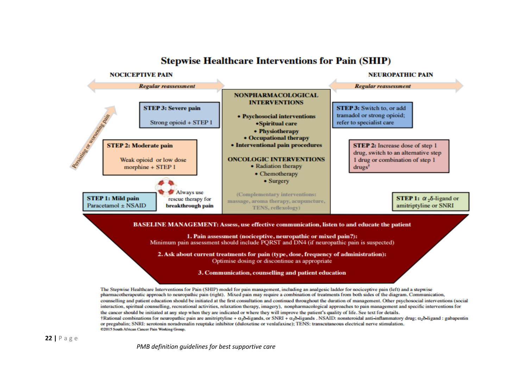

**Stepwise Healthcare Interventions for Pain (SHIP)** 

pharmacotherapeutic approach to neuropathic pain (right). Mixed pain may require a combination of treatments from both sides of the diagram. Communication, counselling and patient education should be initiated at the first consultation and continued throughout the duration of management. Other psychosocial interventions (social interaction, spiritual counselling, recreational activities, relaxation therapy, imagery), nonpharmacological approaches to pain management and specific interventions for the cancer should be initiated at any step when they are indicated or where they will improve the patient's quality of life. See text for details. †Rational combinations for neuropathic pain are amitriptyline +  $\alpha_2\delta$  ligands, or SNRI +  $\alpha_2\delta$  ligands. NSAID: nonsteroidal anti-inflammatory drug;  $\alpha_2\delta$  ligand: gabapentin or pregabalin; SNRI: serotonin noradrenalin reuptake inhibitor (duloxetine or venlafaxine); TENS: transcutaneous electrical nerve stimulation. @2015 South African Cancer Pain Working Group.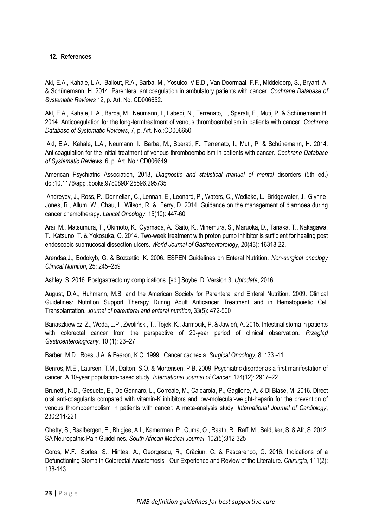#### **12. References**

Akl, E.A., Kahale, L.A., Ballout, R.A., Barba, M., Yosuico, V.E.D., Van Doormaal, F.F., Middeldorp, S., Bryant, A. & Schünemann, H. 2014. Parenteral anticoagulation in ambulatory patients with cancer. *Cochrane Database of Systematic Reviews* 12, p. Art. No.:CD006652.

Akl, E.A., Kahale, L.A., Barba, M., Neumann, I., Labedi, N., Terrenato, I., Sperati, F., Muti, P. & Schünemann H. 2014. Anticoagulation for the long-termtreatment of venous thromboembolism in patients with cancer. *Cochrane Database of Systematic Reviews*, 7, p. Art. No.:CD006650.

Akl, E.A., Kahale, L.A., Neumann, I., Barba, M., Sperati, F., Terrenato, I., Muti, P. & Schünemann, H. 2014. Anticoagulation for the initial treatment of venous thromboembolism in patients with cancer. *Cochrane Database of Systematic Reviews*, 6, p. Art. No.: CD006649.

American Psychiatric Association, 2013, *Diagnostic and statistical manual of mental* disorders (5th ed.) doi:10.1176/appi.books.9780890425596.295735

Andreyev, J., Ross, P., Donnellan, C., Lennan, E., Leonard, P., Waters, C., Wedlake, L., Bridgewater, J., Glynne-Jones, R., Allum, W., Chau, I., Wilson, R. & Ferry, D. 2014. Guidance on the management of diarrhoea during cancer chemotherapy. *Lancet Oncology*, 15(10): 447-60.

Arai, M., Matsumura, T., Okimoto, K., Oyamada, A., Saito, K., Minemura, S., Maruoka, D., Tanaka, T., Nakagawa, T., Katsuno, T. & Yokosuka, O. 2014. Two-week treatment with proton pump inhibitor is sufficient for healing post endoscopic submucosal dissection ulcers. *World Journal of Gastroenterology*, 20(43): 16318-22.

Arendsa,J., Bodokyb, G. & Bozzettic, K. 2006. ESPEN Guidelines on Enteral Nutrition. *Non-surgical oncology Clinical Nutrition*, 25: 245–259

Ashley, S. 2016. Postgastrectomy complications. [ed.] Soybel D. Version 3, *Uptodate*, 2016.

August, D.A., Huhmann, M.B. and the American Society for Parenteral and Enteral Nutrition. 2009. Clinical Guidelines: Nutrition Support Therapy During Adult Anticancer Treatment and in Hematopoietic Cell Transplantation. *Journal of parenteral and enteral nutrition*, 33(5): 472-500

Banaszkiewicz, Z., Woda, L.P., Zwoliński, T., Tojek, K., Jarmocik, P. & Jawień, A. 2015. Intestinal stoma in patients with colorectal cancer from the perspective of 20-year period of clinical observation. *Przeglad Gastroenterologiczny*, 10 (1): 23–27.

Barber, M.D., Ross, J.A. & Fearon, K.C. 1999 . Cancer cachexia. *Surgical Oncology,* 8: 133 -41.

Benros, M.E., Laursen, T.M., Dalton, S.O. & Mortensen, P.B. 2009. Psychiatric disorder as a first manifestation of cancer: A 10-year population-based study. *International Journal of Cancer*, 124(12): 2917–22.

Brunetti, N.D., Gesuete, E., De Gennaro, L., Correale, M., Caldarola, P., Gaglione, A. & Di Biase, M. 2016. Direct oral anti-coagulants compared with vitamin-K inhibitors and low-molecular-weight-heparin for the prevention of venous thromboembolism in patients with cancer: A meta-analysis study. *International Journal of Cardiology*, 230:214-221

Chetty, S., Baalbergen, E., Bhigjee, A.I., Kamerman, P., Ouma, O., Raath, R., Raff, M., Salduker, S. & Afr, S. 2012. SA Neuropathic Pain Guidelines. *South African Medical Journal*, 102(5):312-325

Coros, M.F., Sorlea, S., Hintea, A., Georgescu, R., Crăciun, C. & Pascarenco, G. 2016. Indications of a Defunctioning Stoma in Colorectal Anastomosis - Our Experience and Review of the Literature. *Chirurgia*, 111(2): 138-143.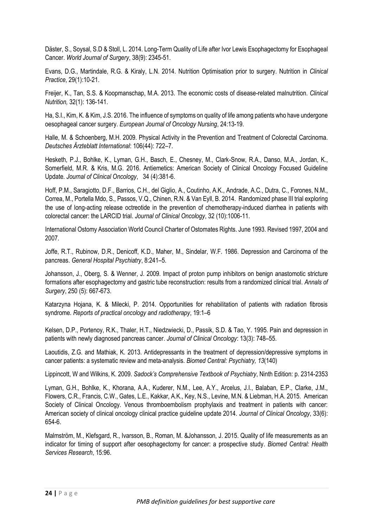Däster, S., Soysal, S.D & Stoll, L. 2014. Long-Term Quality of Life after Ivor Lewis Esophagectomy for Esophageal Cancer. *World Journal of Surgery*, 38(9): 2345-51.

Evans, D.G., Martindale, R.G. & Kiraly, L.N. 2014. Nutrition Optimisation prior to surgery. Nutrition in *Clinical Practice*, 29(1):10-21.

Freijer, K., Tan, S.S. & Koopmanschap, M.A. 2013. The economic costs of disease-related malnutrition. *Clinical Nutrition,* 32(1): 136-141.

Ha, S.I., Kim, K. & Kim, J.S. 2016. The influence of symptoms on quality of life among patients who have undergone oesophageal cancer surgery. *European Journal of Oncology Nursing*, 24:13-19.

Halle, M. & Schoenberg, M.H. 2009. Physical Activity in the Prevention and Treatment of Colorectal Carcinoma. *Deutsches Ärzteblatt International*: 106(44): 722–7.

Hesketh, P.J., Bohlke, K., Lyman, G.H., Basch, E., Chesney, M., Clark-Snow, R.A., Danso, M.A., Jordan, K., Somerfield, M.R. & Kris, M.G. 2016. Antiemetics: American Society of Clinical Oncology Focused Guideline Update. *Journal of Clinical Oncology*, 34 (4):381-6.

Hoff, P.M., Saragiotto, D.F., Barrios, C.H., del Giglio, A., Coutinho, A.K., Andrade, A.C., Dutra, C., Forones, N.M., Correa, M., Portella Mdo, S., Passos, V.Q., Chinen, R.N. & Van Eyll, B. 2014. Randomized phase III trial exploring the use of long-acting release octreotide in the prevention of chemotherapy-induced diarrhea in patients with colorectal cancer: the LARCID trial. *Journal of Clinical Oncology*, 32 (10):1006-11.

International Ostomy Association World Council Charter of Ostomates Rights. June 1993. Revised 1997, 2004 and 2007.

Joffe, R.T., Rubinow, D.R., Denicoff, K.D., Maher, M., Sindelar, W.F. 1986. Depression and Carcinoma of the pancreas. *General Hospital Psychiatry*, 8:241–5.

Johansson, J., Oberg, S. & Wenner, J. 2009. Impact of proton pump inhibitors on benign anastomotic stricture formations after esophagectomy and gastric tube reconstruction: results from a randomized clinical trial. *Annals of Surgery*, 250 (5): 667-673.

Katarzyna Hojana, K. & Milecki, P. 2014. Opportunities for rehabilitation of patients with radiation fibrosis syndrome. *Reports of practical oncology and radiotherapy*, 19:1–6

Kelsen, D.P., Portenoy, R.K., Thaler, H.T., Niedzwiecki, D., Passik, S.D. & Tao, Y. 1995. Pain and depression in patients with newly diagnosed pancreas cancer. *Journal of Clinical Oncology*: 13(3): 748–55.

Laoutidis, Z.G. and Mathiak, K. 2013. Antidepressants in the treatment of depression/depressive symptoms in cancer patients: a systematic review and meta-analysis. *Biomed Central: Psychiatry, 13*(140)

Lippincott, W and Wilkins, K. 2009. *Sadock's Comprehensive Textbook of Psychiatry*, Ninth Edition: p. 2314-2353

Lyman, G.H., Bohlke, K., Khorana, A.A., Kuderer, N.M., Lee, A.Y., Arcelus, J.I., Balaban, E.P., Clarke, J.M., Flowers, C.R., Francis, C.W., Gates, L.E., Kakkar, A.K., Key, N.S., Levine, M.N. & Liebman, H.A. 2015. American Society of Clinical Oncology. Venous thromboembolism prophylaxis and treatment in patients with cancer: American society of clinical oncology clinical practice guideline update 2014. *Journal of Clinical Oncology*, 33(6): 654-6.

Malmström, M., Klefsgard, R., Ivarsson, B., Roman, M. &Johansson, J. 2015. Quality of life measurements as an indicator for timing of support after oesophagectomy for cancer: a prospective study. *Biomed Central: Health Services Research*, 15:96.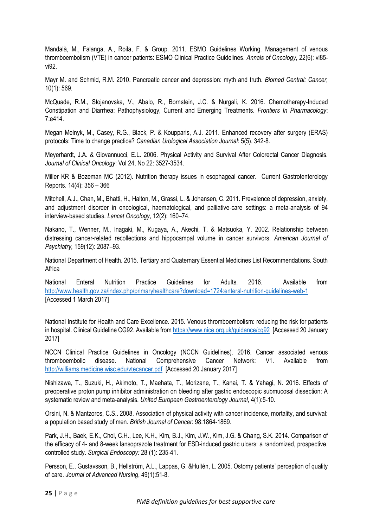Mandalà, M., Falanga, A., Roila, F. & Group. 2011. ESMO Guidelines Working. Management of venous thromboembolism (VTE) in cancer patients: ESMO Clinical Practice Guidelines. *Annals of Oncology*, 22(6): vi85 vi92.

Mayr M. and Schmid, R.M. 2010. Pancreatic cancer and depression: myth and truth*. Biomed Central: Cancer,* 10(1): 569.

McQuade, R.M., Stojanovska, V., Abalo, R., Bornstein, J.C. & Nurgali, K. 2016. Chemotherapy-Induced Constipation and Diarrhea: Pathophysiology, Current and Emerging Treatments. *Frontiers In Pharmacology*: 7:e414.

Megan Melnyk, M., Casey, R.G., Black, P. & Koupparis, A.J. 2011. Enhanced recovery after surgery (ERAS) protocols: Time to change practice? *Canadian Urological Association Journal*: 5(5), 342-8.

Meyerhardt, J.A. & Giovannucci, E.L. 2006. Physical Activity and Survival After Colorectal Cancer Diagnosis. *Journal of Clinical Oncology*: Vol 24, No 22: 3527-3534.

Miller KR & Bozeman MC (2012). Nutrition therapy issues in esophageal cancer. Current Gastrotenterology Reports. 14(4): 356 – 366

Mitchell, A.J., Chan, M., Bhatti, H., Halton, M., Grassi, L. & Johansen, C. 2011. Prevalence of depression, anxiety, and adjustment disorder in oncological, haematological, and palliative-care settings: a meta-analysis of 94 interview-based studies. *Lancet Oncology*, 12(2): 160–74.

Nakano, T., Wenner, M., Inagaki, M., Kugaya, A., Akechi, T. & Matsuoka, Y. 2002. Relationship between distressing cancer-related recollections and hippocampal volume in cancer survivors. *American Journal of Psychiatry,* 159(12): 2087–93.

National Department of Health. 2015. Tertiary and Quaternary Essential Medicines List Recommendations. South **Africa** 

National Enteral Nutrition Practice Guidelines for Adults. 2016. Available from <http://www.health.gov.za/index.php/primaryhealthcare?download=1724:enteral-nutrition-guidelines-web-1> [Accessed 1 March 2017]

National Institute for Health and Care Excellence. 2015. Venous thromboembolism: reducing the risk for patients in hospital. Clinical Guideline CG92. Available from<https://www.nice.org.uk/guidance/cg92> [Accessed 20 January 2017]

NCCN Clinical Practice Guidelines in Oncology (NCCN Guidelines). 2016. Cancer associated venous thromboembolic disease. National Comprehensive Cancer Network: V1. Available from <http://williams.medicine.wisc.edu/vtecancer.pdf> [Accessed 20 January 2017]

Nishizawa, T., Suzuki, H., Akimoto, T., Maehata, T., Morizane, T., Kanai, T. & Yahagi, N. 2016. Effects of preoperative proton pump inhibitor administration on bleeding after gastric endoscopic submucosal dissection: A systematic review and meta-analysis. *United European Gastroenterology Journal*, 4(1):5-10.

Orsini, N. & Mantzoros, C.S.. 2008. Association of physical activity with cancer incidence, mortality, and survival: a population based study of men. *British Journal of Cancer*: 98:1864-1869.

Park, J.H., Baek, E.K., Choi, C.H., Lee, K.H., Kim, B.J., Kim, J.W., Kim, J.G. & Chang, S.K. 2014. Comparison of the efficacy of 4- and 8-week lansoprazole treatment for ESD-induced gastric ulcers: a randomized, prospective, controlled study. *Surgical Endoscopy:* 28 (1): 235-41.

Persson, E., Gustavsson, B., Hellström, A.L., Lappas, G. &Hultén, L. 2005. Ostomy patients' perception of quality of care. *Journal of Advanced Nursing*, 49(1):51-8.